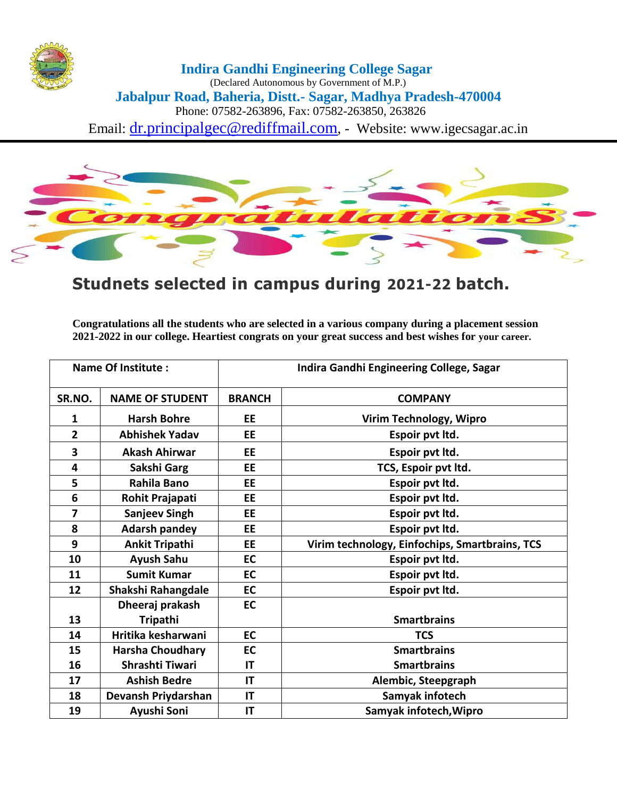

## **Indira Gandhi Engineering College Sagar**

(Declared Autonomous by Government of M.P.) **Jabalpur Road, Baheria, Distt.- Sagar, Madhya Pradesh-470004** Phone: 07582-263896, Fax: 07582-263850, 263826 Email: dr.principalgec@rediffmail.com, - Website: www.igecsagar.ac.in

 $\mathbf{z}$ 

## **Studnets selected in campus during 2021-22 batch.**

**Congratulations all the students who are selected in a various company during a placement session 2021-2022 in our college. Heartiest congrats on your great success and best wishes for your career.**

| <b>Name Of Institute:</b> |                         | Indira Gandhi Engineering College, Sagar |                                                |
|---------------------------|-------------------------|------------------------------------------|------------------------------------------------|
| SR.NO.                    | <b>NAME OF STUDENT</b>  | <b>BRANCH</b>                            | <b>COMPANY</b>                                 |
| 1                         | <b>Harsh Bohre</b>      | EE                                       | Virim Technology, Wipro                        |
| $\overline{2}$            | <b>Abhishek Yadav</b>   | EE                                       | Espoir pvt Itd.                                |
| 3                         | <b>Akash Ahirwar</b>    | EE                                       | Espoir pvt Itd.                                |
| 4                         | Sakshi Garg             | <b>EE</b>                                | TCS, Espoir pvt ltd.                           |
| 5                         | <b>Rahila Bano</b>      | EE                                       | Espoir pvt ltd.                                |
| 6                         | Rohit Prajapati         | EE                                       | Espoir pvt ltd.                                |
| $\overline{\mathbf{z}}$   | <b>Sanjeev Singh</b>    | EE                                       | Espoir pvt ltd.                                |
| 8                         | <b>Adarsh pandey</b>    | EE                                       | Espoir pvt Itd.                                |
| 9                         | <b>Ankit Tripathi</b>   | <b>EE</b>                                | Virim technology, Einfochips, Smartbrains, TCS |
| 10                        | <b>Ayush Sahu</b>       | EC                                       | Espoir pvt ltd.                                |
| 11                        | <b>Sumit Kumar</b>      | <b>EC</b>                                | Espoir pvt ltd.                                |
| 12                        | Shakshi Rahangdale      | EC                                       | Espoir pvt ltd.                                |
|                           | Dheeraj prakash         | EC                                       |                                                |
| 13                        | <b>Tripathi</b>         |                                          | <b>Smartbrains</b>                             |
| 14                        | Hritika kesharwani      | <b>EC</b>                                | <b>TCS</b>                                     |
| 15                        | <b>Harsha Choudhary</b> | EC                                       | <b>Smartbrains</b>                             |
| 16                        | Shrashti Tiwari         | ΙT                                       | <b>Smartbrains</b>                             |
| 17                        | <b>Ashish Bedre</b>     | IT                                       | Alembic, Steepgraph                            |
| 18                        | Devansh Priydarshan     | IT                                       | Samyak infotech                                |
| 19                        | Ayushi Soni             | IT                                       | Samyak infotech, Wipro                         |